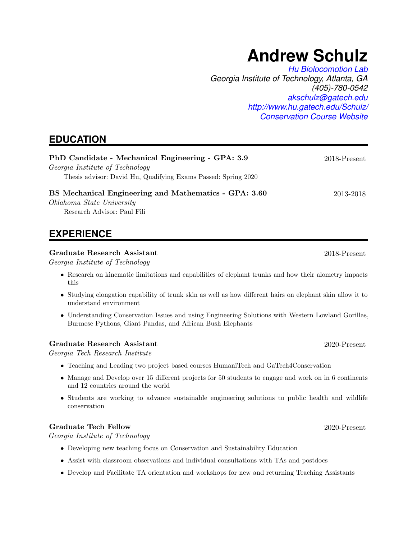# **Andrew Schulz**

*[Hu Biolocomotion Lab](http://www.hu.gatech.edu/) Georgia Institute of Technology, Atlanta, GA (405)-780-0542 [akschulz@gatech.edu](mailto:akschulz@gatech.edu) <http://www.hu.gatech.edu/Schulz/> [Conservation Course Website](https://www.vip.gatech.edu/teams/science-eng-animal-conservation)*

# **EDUCATION**

| PhD Candidate - Mechanical Engineering - GPA: 3.9                                                 | $2018$ -Present                                       |
|---------------------------------------------------------------------------------------------------|-------------------------------------------------------|
| Georgia Institute of Technology<br>Thesis advisor: David Hu, Qualifying Exams Passed: Spring 2020 |                                                       |
|                                                                                                   |                                                       |
|                                                                                                   | BS Mechanical Engineering and Mathematics - GPA: 3.60 |
| Oklahoma State University                                                                         |                                                       |
| Research Advisor: Paul Fili                                                                       |                                                       |

### **EXPERIENCE**

#### Graduate Research Assistant 2018-Present

Georgia Institute of Technology

- Research on kinematic limitations and capabilities of elephant trunks and how their alometry impacts this
- Studying elongation capability of trunk skin as well as how different hairs on elephant skin allow it to understand environment
- Understanding Conservation Issues and using Engineering Solutions with Western Lowland Gorillas, Burmese Pythons, Giant Pandas, and African Bush Elephants

#### Graduate Research Assistant 2020-Present

Georgia Tech Research Institute

- Teaching and Leading two project based courses HumaniTech and GaTech4Conservation
- Manage and Develop over 15 different projects for 50 students to engage and work on in 6 continents and 12 countries around the world
- Students are working to advance sustainable engineering solutions to public health and wildlife conservation

#### Graduate Tech Fellow 2020-Present

Georgia Institute of Technology

- Developing new teaching focus on Conservation and Sustainability Education
- Assist with classroom observations and individual consultations with TAs and postdocs
- Develop and Facilitate TA orientation and workshops for new and returning Teaching Assistants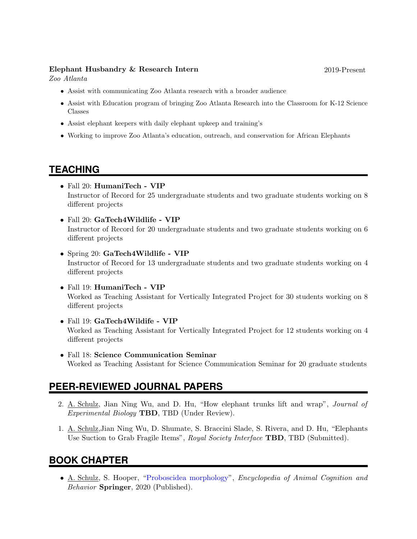#### Elephant Husbandry & Research Intern 2019-Present

Zoo Atlanta

- Assist with communicating Zoo Atlanta research with a broader audience
- Assist with Education program of bringing Zoo Atlanta Research into the Classroom for K-12 Science Classes
- Assist elephant keepers with daily elephant upkeep and training's
- Working to improve Zoo Atlanta's education, outreach, and conservation for African Elephants

# **TEACHING**

- Fall 20: HumaniTech VIP Instructor of Record for 25 undergraduate students and two graduate students working on 8 different projects
- Fall 20: GaTech4Wildlife VIP Instructor of Record for 20 undergraduate students and two graduate students working on 6 different projects
- Spring 20: GaTech4Wildlife VIP Instructor of Record for 13 undergraduate students and two graduate students working on 4 different projects
- Fall 19: HumaniTech VIP Worked as Teaching Assistant for Vertically Integrated Project for 30 students working on 8 different projects
- Fall 19: GaTech4Wildife VIP Worked as Teaching Assistant for Vertically Integrated Project for 12 students working on 4 different projects
- Fall 18: Science Communication Seminar Worked as Teaching Assistant for Science Communication Seminar for 20 graduate students

# **PEER-REVIEWED JOURNAL PAPERS**

- 2. A. Schulz, Jian Ning Wu, and D. Hu, "How elephant trunks lift and wrap", Journal of Experimental Biology TBD, TBD (Under Review).
- 1. A. Schulz,Jian Ning Wu, D. Shumate, S. Braccini Slade, S. Rivera, and D. Hu, "Elephants Use Suction to Grab Fragile Items", Royal Society Interface TBD, TBD (Submitted).

# **BOOK CHAPTER**

• A. Schulz, S. Hooper, ["Proboscidea morphology"](https://link.springer.com/referenceworkentry/10.1007/978-3-319-47829-6_1320-1), Encyclopedia of Animal Cognition and Behavior Springer, 2020 (Published).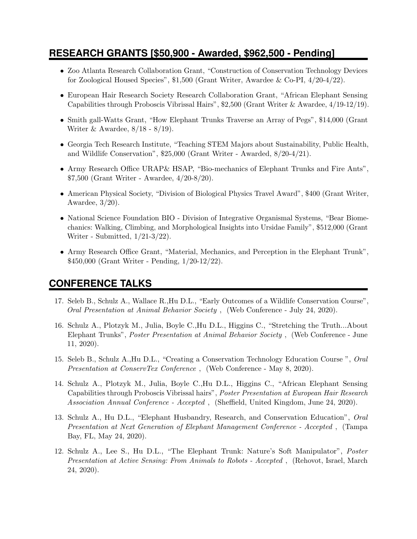### **RESEARCH GRANTS [\$50,900 - Awarded, \$962,500 - Pending]**

- Zoo Atlanta Research Collaboration Grant, "Construction of Conservation Technology Devices for Zoological Housed Species", \$1,500 (Grant Writer, Awardee & Co-PI, 4/20-4/22).
- European Hair Research Society Research Collaboration Grant, "African Elephant Sensing Capabilities through Proboscis Vibrissal Hairs", \$2,500 (Grant Writer & Awardee, 4/19-12/19).
- Smith gall-Watts Grant, "How Elephant Trunks Traverse an Array of Pegs", \$14,000 (Grant Writer & Awardee, 8/18 - 8/19).
- Georgia Tech Research Institute, "Teaching STEM Majors about Sustainability, Public Health, and Wildlife Conservation", \$25,000 (Grant Writer - Awarded, 8/20-4/21).
- Army Research Office URAP& HSAP, "Bio-mechanics of Elephant Trunks and Fire Ants", \$7,500 (Grant Writer - Awardee, 4/20-8/20).
- American Physical Society, "Division of Biological Physics Travel Award", \$400 (Grant Writer, Awardee, 3/20).
- National Science Foundation BIO Division of Integrative Organismal Systems, "Bear Biomechanics: Walking, Climbing, and Morphological Insights into Ursidae Family", \$512,000 (Grant Writer - Submitted, 1/21-3/22).
- Army Research Office Grant, "Material, Mechanics, and Perception in the Elephant Trunk", \$450,000 (Grant Writer - Pending, 1/20-12/22).

### **CONFERENCE TALKS**

- 17. Seleb B., Schulz A., Wallace R.,Hu D.L., "Early Outcomes of a Wildlife Conservation Course", Oral Presentation at Animal Behavior Society , (Web Conference - July 24, 2020).
- 16. Schulz A., Plotzyk M., Julia, Boyle C.,Hu D.L., Higgins C., "Stretching the Truth...About Elephant Trunks", Poster Presentation at Animal Behavior Society , (Web Conference - June 11, 2020).
- 15. Seleb B., Schulz A.,Hu D.L., "Creating a Conservation Technology Education Course ", Oral Presentation at ConservTex Conference , (Web Conference - May 8, 2020).
- 14. Schulz A., Plotzyk M., Julia, Boyle C.,Hu D.L., Higgins C., "African Elephant Sensing Capabilities through Proboscis Vibrissal hairs", Poster Presentation at European Hair Research Association Annual Conference - Accepted , (Sheffield, United Kingdom, June 24, 2020).
- 13. Schulz A., Hu D.L., "Elephant Husbandry, Research, and Conservation Education", Oral Presentation at Next Generation of Elephant Management Conference - Accepted , (Tampa Bay, FL, May 24, 2020).
- 12. Schulz A., Lee S., Hu D.L., "The Elephant Trunk: Nature's Soft Manipulator", Poster Presentation at Active Sensing: From Animals to Robots - Accepted , (Rehovot, Israel, March 24, 2020).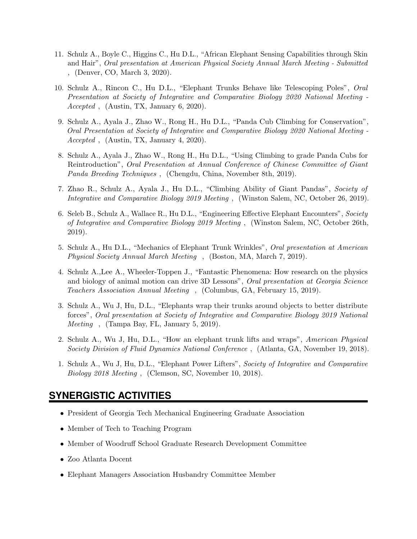- 11. Schulz A., Boyle C., Higgins C., Hu D.L., "African Elephant Sensing Capabilities through Skin and Hair", Oral presentation at American Physical Society Annual March Meeting - Submitted , (Denver, CO, March 3, 2020).
- 10. Schulz A., Rincon C., Hu D.L., "Elephant Trunks Behave like Telescoping Poles", Oral Presentation at Society of Integrative and Comparative Biology 2020 National Meeting - Accepted , (Austin, TX, January 6, 2020).
- 9. Schulz A., Ayala J., Zhao W., Rong H., Hu D.L., "Panda Cub Climbing for Conservation", Oral Presentation at Society of Integrative and Comparative Biology 2020 National Meeting - Accepted , (Austin, TX, January 4, 2020).
- 8. Schulz A., Ayala J., Zhao W., Rong H., Hu D.L., "Using Climbing to grade Panda Cubs for Reintroduction", Oral Presentation at Annual Conference of Chinese Committee of Giant Panda Breeding Techniques , (Chengdu, China, November 8th, 2019).
- 7. Zhao R., Schulz A., Ayala J., Hu D.L., "Climbing Ability of Giant Pandas", Society of Integrative and Comparative Biology 2019 Meeting , (Winston Salem, NC, October 26, 2019).
- 6. Seleb B., Schulz A., Wallace R., Hu D.L., "Engineering Effective Elephant Encounters", Society of Integrative and Comparative Biology 2019 Meeting , (Winston Salem, NC, October 26th, 2019).
- 5. Schulz A., Hu D.L., "Mechanics of Elephant Trunk Wrinkles", Oral presentation at American Physical Society Annual March Meeting , (Boston, MA, March 7, 2019).
- 4. Schulz A.,Lee A., Wheeler-Toppen J., "Fantastic Phenomena: How research on the physics and biology of animal motion can drive 3D Lessons", Oral presentation at Georgia Science Teachers Association Annual Meeting , (Columbus, GA, February 15, 2019).
- 3. Schulz A., Wu J, Hu, D.L., "Elephants wrap their trunks around objects to better distribute forces", Oral presentation at Society of Integrative and Comparative Biology 2019 National Meeting , (Tampa Bay, FL, January 5, 2019).
- 2. Schulz A., Wu J, Hu, D.L., "How an elephant trunk lifts and wraps", American Physical Society Division of Fluid Dynamics National Conference , (Atlanta, GA, November 19, 2018).
- 1. Schulz A., Wu J, Hu, D.L., "Elephant Power Lifters", Society of Integrative and Comparative Biology 2018 Meeting , (Clemson, SC, November 10, 2018).

#### **SYNERGISTIC ACTIVITIES**

- President of Georgia Tech Mechanical Engineering Graduate Association
- Member of Tech to Teaching Program
- Member of Woodruff School Graduate Research Development Committee
- Zoo Atlanta Docent
- Elephant Managers Association Husbandry Committee Member